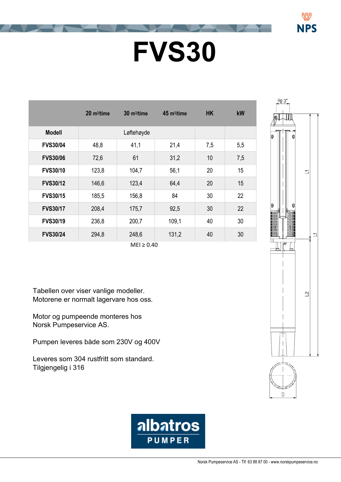## **FVS30**

|                 | $20 \text{ m}^3$ /time | $30 \text{ m}^3$ /time | $45 \text{ m}^3$ /time | <b>HK</b> | <b>kW</b> |
|-----------------|------------------------|------------------------|------------------------|-----------|-----------|
| <b>Modell</b>   |                        | Løftehøyde             |                        |           |           |
| <b>FVS30/04</b> | 48,8                   | 41,1                   | 21,4                   | 7,5       | 5,5       |
| <b>FVS30/06</b> | 72,6                   | 61                     | 31,2                   | 10        | 7,5       |
| <b>FVS30/10</b> | 123,8                  | 104,7                  | 56,1                   | 20        | 15        |
| <b>FVS30/12</b> | 146,6                  | 123,4                  | 64,4                   | 20        | 15        |
| <b>FVS30/15</b> | 185,5                  | 156,8                  | 84                     | 30        | 22        |
| <b>FVS30/17</b> | 208,4                  | 175,7                  | 92,5                   | 30        | 22        |
| <b>FVS30/19</b> | 236,8                  | 200,7                  | 109,1                  | 40        | 30        |
| <b>FVS30/24</b> | 294,8                  | 248,6                  | 131,2                  | 40        | 30        |
| $MEI \geq 0.40$ |                        |                        |                        |           |           |

Tabellen over viser vanlige modeller. Motorene er normalt lagervare hos oss.

Motor og pumpeende monteres hos Norsk Pumpeservice AS.

Pumpen leveres både som 230V og 400V

Leveres som 304 rustfritt som standard. Tilgjengelig i 316



NPS